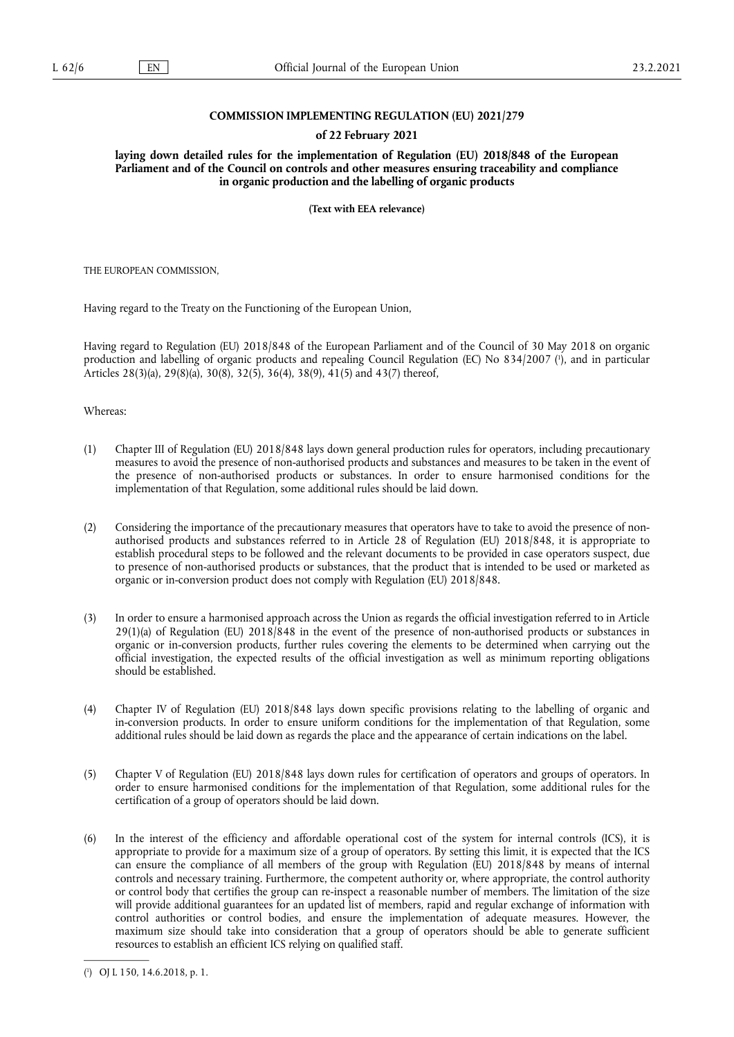## **COMMISSION IMPLEMENTING REGULATION (EU) 2021/279**

### **of 22 February 2021**

**laying down detailed rules for the implementation of Regulation (EU) 2018/848 of the European Parliament and of the Council on controls and other measures ensuring traceability and compliance in organic production and the labelling of organic products** 

**(Text with EEA relevance)** 

THE EUROPEAN COMMISSION,

Having regard to the Treaty on the Functioning of the European Union,

<span id="page-0-1"></span>Having regard to Regulation (EU) 2018/848 of the European Parliament and of the Council of 30 May 2018 on organic production and labelling of organic products and repealing Council Regulation (EC) No 834/2007 ( 1 [\),](#page-0-0) and in particular Articles 28(3)(a), 29(8)(a), 30(8), 32(5), 36(4), 38(9), 41(5) and 43(7) thereof,

Whereas:

- (1) Chapter III of Regulation (EU) 2018/848 lays down general production rules for operators, including precautionary measures to avoid the presence of non-authorised products and substances and measures to be taken in the event of the presence of non-authorised products or substances. In order to ensure harmonised conditions for the implementation of that Regulation, some additional rules should be laid down.
- (2) Considering the importance of the precautionary measures that operators have to take to avoid the presence of nonauthorised products and substances referred to in Article 28 of Regulation (EU) 2018/848, it is appropriate to establish procedural steps to be followed and the relevant documents to be provided in case operators suspect, due to presence of non-authorised products or substances, that the product that is intended to be used or marketed as organic or in-conversion product does not comply with Regulation (EU) 2018/848.
- (3) In order to ensure a harmonised approach across the Union as regards the official investigation referred to in Article 29(1)(a) of Regulation (EU) 2018/848 in the event of the presence of non-authorised products or substances in organic or in-conversion products, further rules covering the elements to be determined when carrying out the official investigation, the expected results of the official investigation as well as minimum reporting obligations should be established.
- (4) Chapter IV of Regulation (EU) 2018/848 lays down specific provisions relating to the labelling of organic and in-conversion products. In order to ensure uniform conditions for the implementation of that Regulation, some additional rules should be laid down as regards the place and the appearance of certain indications on the label.
- (5) Chapter V of Regulation (EU) 2018/848 lays down rules for certification of operators and groups of operators. In order to ensure harmonised conditions for the implementation of that Regulation, some additional rules for the certification of a group of operators should be laid down.
- (6) In the interest of the efficiency and affordable operational cost of the system for internal controls (ICS), it is appropriate to provide for a maximum size of a group of operators. By setting this limit, it is expected that the ICS can ensure the compliance of all members of the group with Regulation (EU) 2018/848 by means of internal controls and necessary training. Furthermore, the competent authority or, where appropriate, the control authority or control body that certifies the group can re-inspect a reasonable number of members. The limitation of the size will provide additional guarantees for an updated list of members, rapid and regular exchange of information with control authorities or control bodies, and ensure the implementation of adequate measures. However, the maximum size should take into consideration that a group of operators should be able to generate sufficient resources to establish an efficient ICS relying on qualified staff.

<span id="page-0-0"></span>[<sup>\(</sup>](#page-0-1) 1 ) OJ L 150, 14.6.2018, p. 1.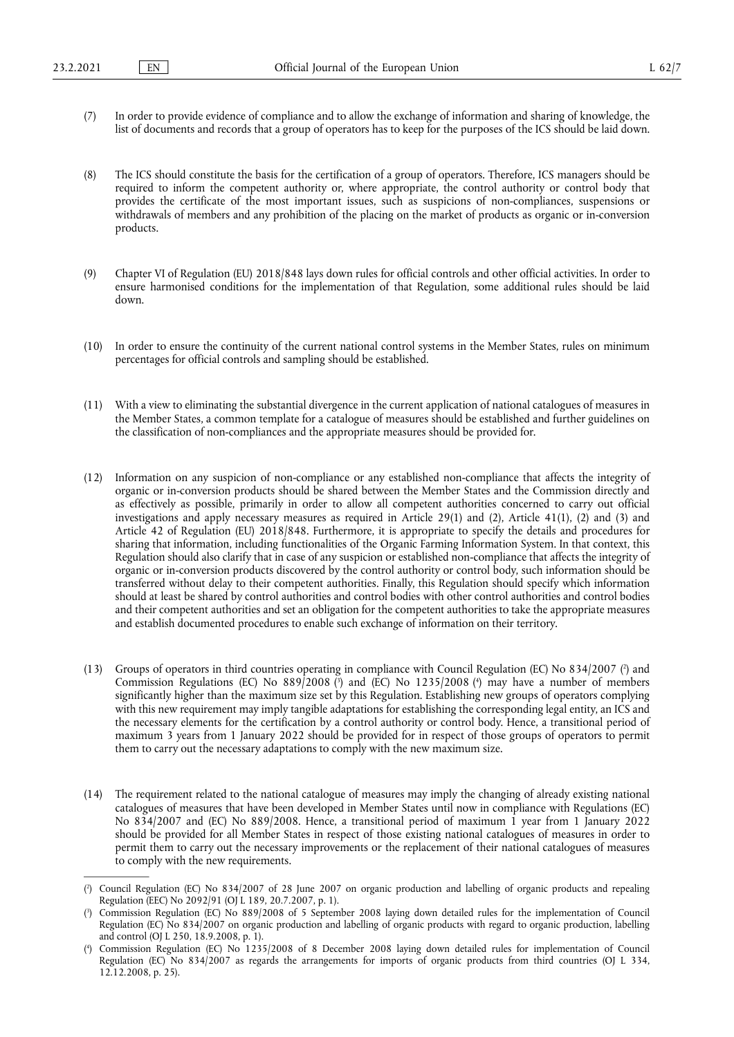- (7) In order to provide evidence of compliance and to allow the exchange of information and sharing of knowledge, the list of documents and records that a group of operators has to keep for the purposes of the ICS should be laid down.
- (8) The ICS should constitute the basis for the certification of a group of operators. Therefore, ICS managers should be required to inform the competent authority or, where appropriate, the control authority or control body that provides the certificate of the most important issues, such as suspicions of non-compliances, suspensions or withdrawals of members and any prohibition of the placing on the market of products as organic or in-conversion products.
- (9) Chapter VI of Regulation (EU) 2018/848 lays down rules for official controls and other official activities. In order to ensure harmonised conditions for the implementation of that Regulation, some additional rules should be laid down.
- (10) In order to ensure the continuity of the current national control systems in the Member States, rules on minimum percentages for official controls and sampling should be established.
- (11) With a view to eliminating the substantial divergence in the current application of national catalogues of measures in the Member States, a common template for a catalogue of measures should be established and further guidelines on the classification of non-compliances and the appropriate measures should be provided for.
- (12) Information on any suspicion of non-compliance or any established non-compliance that affects the integrity of organic or in-conversion products should be shared between the Member States and the Commission directly and as effectively as possible, primarily in order to allow all competent authorities concerned to carry out official investigations and apply necessary measures as required in Article 29(1) and (2), Article 41(1), (2) and (3) and Article 42 of Regulation (EU) 2018/848. Furthermore, it is appropriate to specify the details and procedures for sharing that information, including functionalities of the Organic Farming Information System. In that context, this Regulation should also clarify that in case of any suspicion or established non-compliance that affects the integrity of organic or in-conversion products discovered by the control authority or control body, such information should be transferred without delay to their competent authorities. Finally, this Regulation should specify which information should at least be shared by control authorities and control bodies with other control authorities and control bodies and their competent authorities and set an obligation for the competent authorities to take the appropriate measures and establish documented procedures to enable such exchange of information on their territory.
- <span id="page-1-4"></span><span id="page-1-3"></span>(13) Groups of operators in third countries operating in compliance with Council Regulation (EC) No 834/2007 ( 2 [\)](#page-1-0) and Commission Regulations (EC[\)](#page-1-1) No 889/2008 [\(](#page-1-2)<sup>3</sup>) and (EC) No 1235/2008 (<sup>4</sup>) may have a number of members significantly higher than the maximum size set by this Regulation. Establishing new groups of operators complying with this new requirement may imply tangible adaptations for establishing the corresponding legal entity, an ICS and the necessary elements for the certification by a control authority or control body. Hence, a transitional period of maximum 3 years from 1 January 2022 should be provided for in respect of those groups of operators to permit them to carry out the necessary adaptations to comply with the new maximum size.
- (14) The requirement related to the national catalogue of measures may imply the changing of already existing national catalogues of measures that have been developed in Member States until now in compliance with Regulations (EC) No 834/2007 and (EC) No 889/2008. Hence, a transitional period of maximum 1 year from 1 January 2022 should be provided for all Member States in respect of those existing national catalogues of measures in order to permit them to carry out the necessary improvements or the replacement of their national catalogues of measures to comply with the new requirements.

<span id="page-1-0"></span>[<sup>\(</sup>](#page-1-3) 2 ) Council Regulation (EC) No 834/2007 of 28 June 2007 on organic production and labelling of organic products and repealing Regulation (EEC) No 2092/91 (OJ L 189, 20.7.2007, p. 1).

<span id="page-1-1"></span>[<sup>\(</sup>](#page-1-4) 3 ) Commission Regulation (EC) No 889/2008 of 5 September 2008 laying down detailed rules for the implementation of Council Regulation (EC) No 834/2007 on organic production and labelling of organic products with regard to organic production, labelling and control (OJ L 250, 18.9.2008, p. 1).

<span id="page-1-2"></span>[<sup>\(</sup>](#page-1-4) 4 ) Commission Regulation (EC) No 1235/2008 of 8 December 2008 laying down detailed rules for implementation of Council Regulation (EC) No 834/2007 as regards the arrangements for imports of organic products from third countries (OJ L 334, 12.12.2008, p. 25).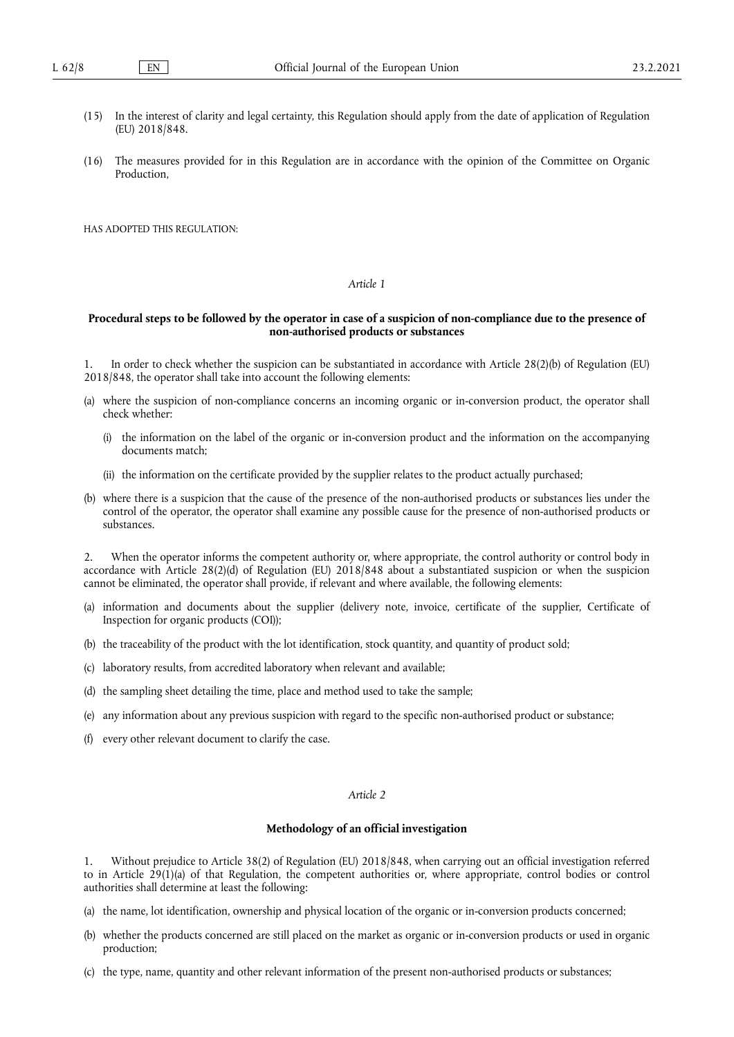- (15) In the interest of clarity and legal certainty, this Regulation should apply from the date of application of Regulation (EU) 2018/848.
- (16) The measures provided for in this Regulation are in accordance with the opinion of the Committee on Organic **Production**

HAS ADOPTED THIS REGULATION:

# *Article 1*

## **Procedural steps to be followed by the operator in case of a suspicion of non-compliance due to the presence of non-authorised products or substances**

1. In order to check whether the suspicion can be substantiated in accordance with Article 28(2)(b) of Regulation (EU) 2018/848, the operator shall take into account the following elements:

- (a) where the suspicion of non-compliance concerns an incoming organic or in-conversion product, the operator shall check whether:
	- (i) the information on the label of the organic or in-conversion product and the information on the accompanying documents match;
	- (ii) the information on the certificate provided by the supplier relates to the product actually purchased;
- (b) where there is a suspicion that the cause of the presence of the non-authorised products or substances lies under the control of the operator, the operator shall examine any possible cause for the presence of non-authorised products or substances.

2. When the operator informs the competent authority or, where appropriate, the control authority or control body in accordance with Article 28(2)(d) of Regulation (EU) 2018/848 about a substantiated suspicion or when the suspicion cannot be eliminated, the operator shall provide, if relevant and where available, the following elements:

- (a) information and documents about the supplier (delivery note, invoice, certificate of the supplier, Certificate of Inspection for organic products (COI));
- (b) the traceability of the product with the lot identification, stock quantity, and quantity of product sold;
- (c) laboratory results, from accredited laboratory when relevant and available;
- (d) the sampling sheet detailing the time, place and method used to take the sample;
- (e) any information about any previous suspicion with regard to the specific non-authorised product or substance;
- (f) every other relevant document to clarify the case.

#### *Article 2*

### **Methodology of an official investigation**

1. Without prejudice to Article 38(2) of Regulation (EU) 2018/848, when carrying out an official investigation referred to in Article  $29(1)(a)$  of that Regulation, the competent authorities or, where appropriate, control bodies or control authorities shall determine at least the following:

- (a) the name, lot identification, ownership and physical location of the organic or in-conversion products concerned;
- (b) whether the products concerned are still placed on the market as organic or in-conversion products or used in organic production;
- (c) the type, name, quantity and other relevant information of the present non-authorised products or substances;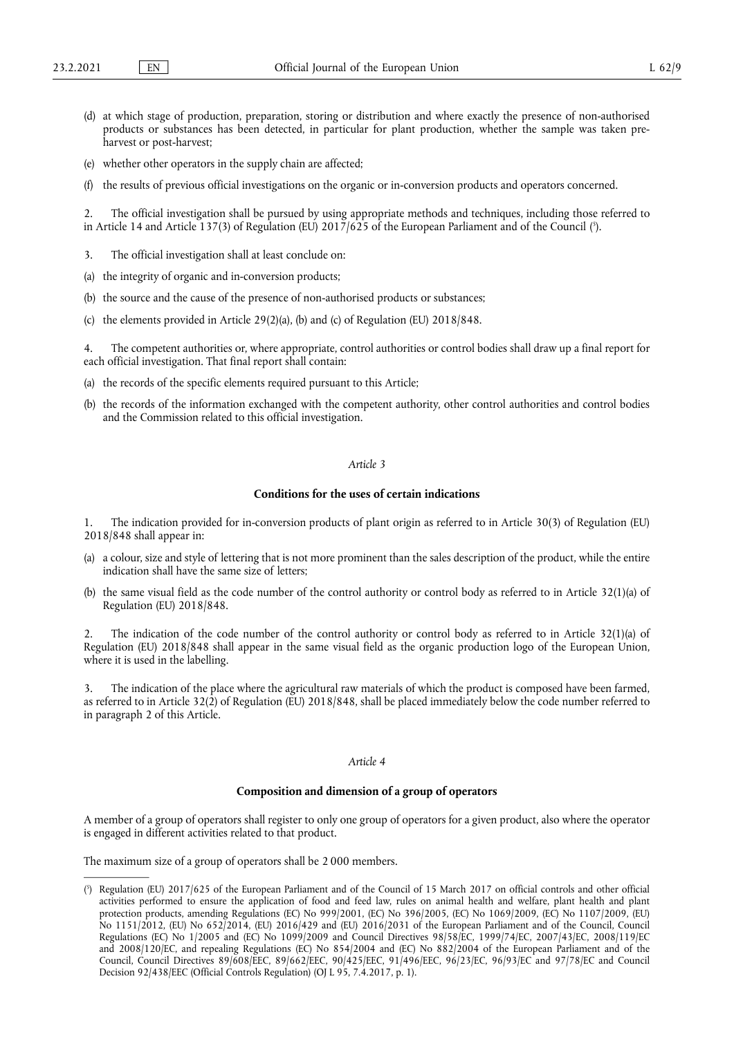- (d) at which stage of production, preparation, storing or distribution and where exactly the presence of non-authorised products or substances has been detected, in particular for plant production, whether the sample was taken preharvest or post-harvest;
- (e) whether other operators in the supply chain are affected;
- (f) the results of previous official investigations on the organic or in-conversion products and operators concerned.

<span id="page-3-1"></span>2. The official investigation shall be pursued by using appropriate methods and techniques, including those referred to in Article 14 and Article 137(3) of Regulation (EU) 2017/625 of the European Parliament and of the Council ( 5 [\).](#page-3-0)

- 3. The official investigation shall at least conclude on:
- (a) the integrity of organic and in-conversion products;
- (b) the source and the cause of the presence of non-authorised products or substances;
- (c) the elements provided in Article 29(2)(a), (b) and (c) of Regulation (EU) 2018/848.

4. The competent authorities or, where appropriate, control authorities or control bodies shall draw up a final report for each official investigation. That final report shall contain:

- (a) the records of the specific elements required pursuant to this Article;
- (b) the records of the information exchanged with the competent authority, other control authorities and control bodies and the Commission related to this official investigation.

# *Article 3*

# **Conditions for the uses of certain indications**

1. The indication provided for in-conversion products of plant origin as referred to in Article 30(3) of Regulation (EU) 2018/848 shall appear in:

- (a) a colour, size and style of lettering that is not more prominent than the sales description of the product, while the entire indication shall have the same size of letters;
- (b) the same visual field as the code number of the control authority or control body as referred to in Article 32(1)(a) of Regulation (EU) 2018/848.

2. The indication of the code number of the control authority or control body as referred to in Article 32(1)(a) of Regulation (EU) 2018/848 shall appear in the same visual field as the organic production logo of the European Union, where it is used in the labelling.

3. The indication of the place where the agricultural raw materials of which the product is composed have been farmed, as referred to in Article 32(2) of Regulation (EU) 2018/848, shall be placed immediately below the code number referred to in paragraph 2 of this Article.

# *Article 4*

### **Composition and dimension of a group of operators**

A member of a group of operators shall register to only one group of operators for a given product, also where the operator is engaged in different activities related to that product.

The maximum size of a group of operators shall be 2 000 members.

<span id="page-3-0"></span>[<sup>\(</sup>](#page-3-1) 5 ) Regulation (EU) 2017/625 of the European Parliament and of the Council of 15 March 2017 on official controls and other official activities performed to ensure the application of food and feed law, rules on animal health and welfare, plant health and plant protection products, amending Regulations (EC) No 999/2001, (EC) No 396/2005, (EC) No 1069/2009, (EC) No 1107/2009, (EU) No 1151/2012, (EU) No 652/2014, (EU) 2016/429 and (EU) 2016/2031 of the European Parliament and of the Council, Council Regulations (EC) No 1/2005 and (EC) No 1099/2009 and Council Directives 98/58/EC, 1999/74/EC, 2007/43/EC, 2008/119/EC and 2008/120/EC, and repealing Regulations (EC) No 854/2004 and (EC) No 882/2004 of the European Parliament and of the Council, Council Directives 89/608/EEC, 89/662/EEC, 90/425/EEC, 91/496/EEC, 96/23/EC, 96/93/EC and 97/78/EC and Council Decision 92/438/EEC (Official Controls Regulation) (OJ L 95, 7.4.2017, p. 1).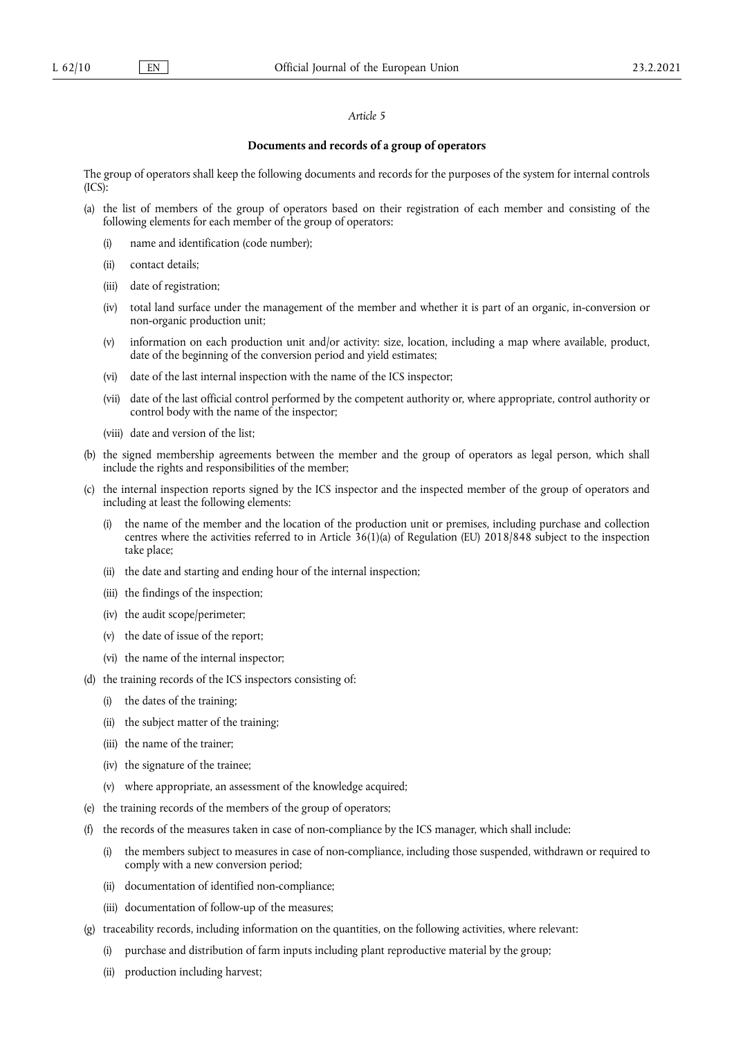### *Article 5*

## **Documents and records of a group of operators**

The group of operators shall keep the following documents and records for the purposes of the system for internal controls  $(ICS):$ 

- (a) the list of members of the group of operators based on their registration of each member and consisting of the following elements for each member of the group of operators:
	- (i) name and identification (code number);
	- (ii) contact details;
	- (iii) date of registration;
	- (iv) total land surface under the management of the member and whether it is part of an organic, in-conversion or non-organic production unit;
	- (v) information on each production unit and/or activity: size, location, including a map where available, product, date of the beginning of the conversion period and yield estimates;
	- (vi) date of the last internal inspection with the name of the ICS inspector;
	- (vii) date of the last official control performed by the competent authority or, where appropriate, control authority or control body with the name of the inspector;
	- (viii) date and version of the list;
- (b) the signed membership agreements between the member and the group of operators as legal person, which shall include the rights and responsibilities of the member;
- (c) the internal inspection reports signed by the ICS inspector and the inspected member of the group of operators and including at least the following elements:
	- (i) the name of the member and the location of the production unit or premises, including purchase and collection centres where the activities referred to in Article 36(1)(a) of Regulation (EU) 2018/848 subject to the inspection take place;
	- (ii) the date and starting and ending hour of the internal inspection;
	- (iii) the findings of the inspection;
	- (iv) the audit scope/perimeter;
	- (v) the date of issue of the report;
	- (vi) the name of the internal inspector;
- (d) the training records of the ICS inspectors consisting of:
	- (i) the dates of the training;
	- (ii) the subject matter of the training;
	- (iii) the name of the trainer;
	- (iv) the signature of the trainee;
	- (v) where appropriate, an assessment of the knowledge acquired;
- (e) the training records of the members of the group of operators;
- (f) the records of the measures taken in case of non-compliance by the ICS manager, which shall include:
	- (i) the members subject to measures in case of non-compliance, including those suspended, withdrawn or required to comply with a new conversion period;
	- (ii) documentation of identified non-compliance;
	- (iii) documentation of follow-up of the measures;
- (g) traceability records, including information on the quantities, on the following activities, where relevant:
	- (i) purchase and distribution of farm inputs including plant reproductive material by the group;
	- (ii) production including harvest;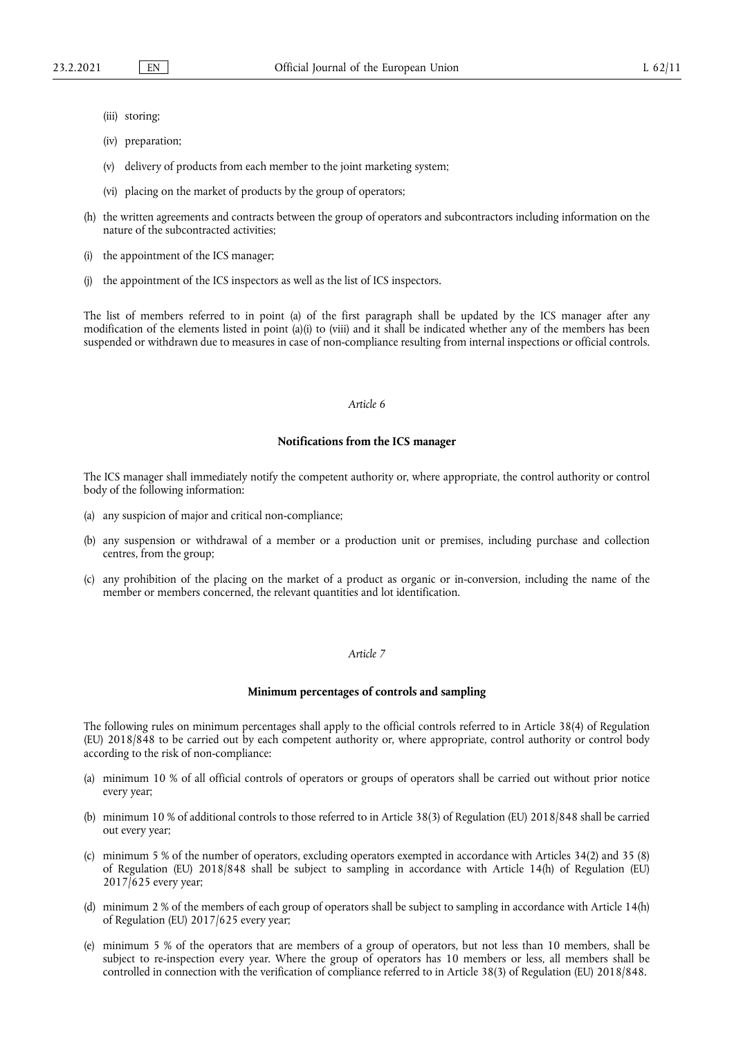- (iii) storing;
- (iv) preparation;
- (v) delivery of products from each member to the joint marketing system;
- (vi) placing on the market of products by the group of operators;
- (h) the written agreements and contracts between the group of operators and subcontractors including information on the nature of the subcontracted activities;
- (i) the appointment of the ICS manager;
- (j) the appointment of the ICS inspectors as well as the list of ICS inspectors.

The list of members referred to in point (a) of the first paragraph shall be updated by the ICS manager after any modification of the elements listed in point (a)(i) to (viii) and it shall be indicated whether any of the members has been suspended or withdrawn due to measures in case of non-compliance resulting from internal inspections or official controls.

#### *Article 6*

#### **Notifications from the ICS manager**

The ICS manager shall immediately notify the competent authority or, where appropriate, the control authority or control body of the following information:

- (a) any suspicion of major and critical non-compliance;
- (b) any suspension or withdrawal of a member or a production unit or premises, including purchase and collection centres, from the group;
- (c) any prohibition of the placing on the market of a product as organic or in-conversion, including the name of the member or members concerned, the relevant quantities and lot identification.

# *Article 7*

#### **Minimum percentages of controls and sampling**

The following rules on minimum percentages shall apply to the official controls referred to in Article 38(4) of Regulation (EU) 2018/848 to be carried out by each competent authority or, where appropriate, control authority or control body according to the risk of non-compliance:

- (a) minimum 10 % of all official controls of operators or groups of operators shall be carried out without prior notice every year;
- (b) minimum 10 % of additional controls to those referred to in Article 38(3) of Regulation (EU) 2018/848 shall be carried out every year;
- (c) minimum 5 % of the number of operators, excluding operators exempted in accordance with Articles 34(2) and 35 (8) of Regulation (EU) 2018/848 shall be subject to sampling in accordance with Article 14(h) of Regulation (EU)  $2017/625$  every year;
- (d) minimum 2 % of the members of each group of operators shall be subject to sampling in accordance with Article 14(h) of Regulation (EU) 2017/625 every year;
- (e) minimum 5 % of the operators that are members of a group of operators, but not less than 10 members, shall be subject to re-inspection every year. Where the group of operators has 10 members or less, all members shall be controlled in connection with the verification of compliance referred to in Article 38(3) of Regulation (EU) 2018/848.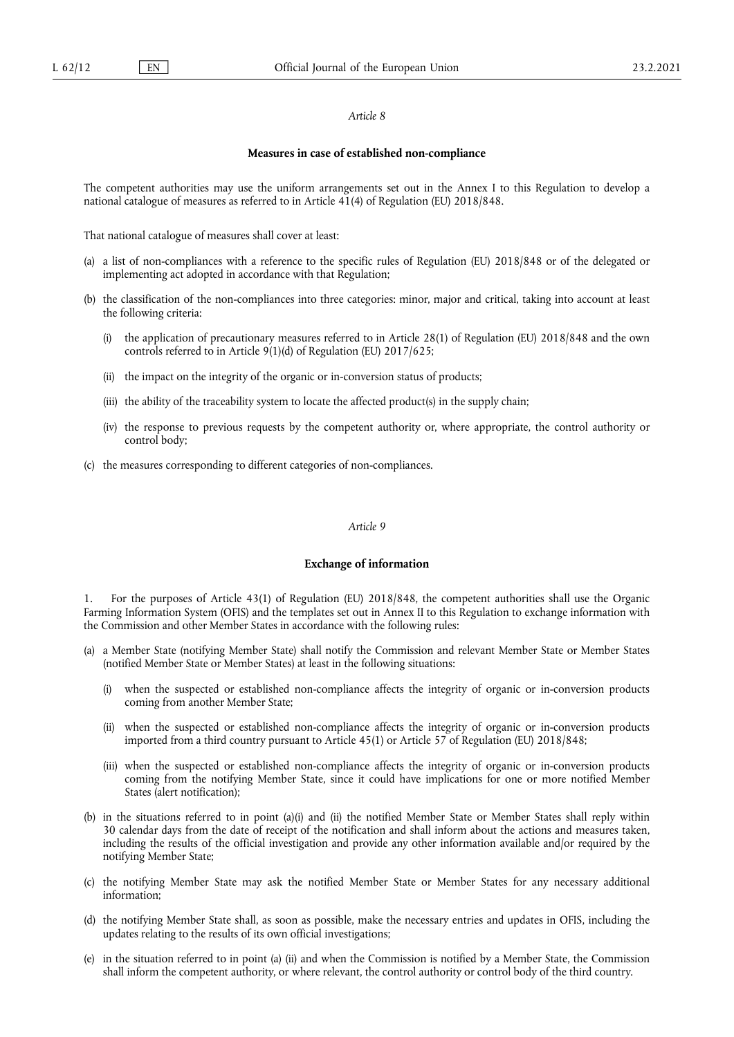#### *Article 8*

#### **Measures in case of established non-compliance**

The competent authorities may use the uniform arrangements set out in the Annex I to this Regulation to develop a national catalogue of measures as referred to in Article 41(4) of Regulation (EU) 2018/848.

That national catalogue of measures shall cover at least:

- a list of non-compliances with a reference to the specific rules of Regulation (EU) 2018/848 or of the delegated or implementing act adopted in accordance with that Regulation;
- (b) the classification of the non-compliances into three categories: minor, major and critical, taking into account at least the following criteria:
	- (i) the application of precautionary measures referred to in Article 28(1) of Regulation (EU) 2018/848 and the own controls referred to in Article 9(1)(d) of Regulation (EU) 2017/625;
	- (ii) the impact on the integrity of the organic or in-conversion status of products;
	- (iii) the ability of the traceability system to locate the affected product(s) in the supply chain;
	- (iv) the response to previous requests by the competent authority or, where appropriate, the control authority or control body;
- (c) the measures corresponding to different categories of non-compliances.

#### *Article 9*

# **Exchange of information**

1. For the purposes of Article 43(1) of Regulation (EU) 2018/848, the competent authorities shall use the Organic Farming Information System (OFIS) and the templates set out in Annex II to this Regulation to exchange information with the Commission and other Member States in accordance with the following rules:

- (a) a Member State (notifying Member State) shall notify the Commission and relevant Member State or Member States (notified Member State or Member States) at least in the following situations:
	- (i) when the suspected or established non-compliance affects the integrity of organic or in-conversion products coming from another Member State;
	- (ii) when the suspected or established non-compliance affects the integrity of organic or in-conversion products imported from a third country pursuant to Article 45(1) or Article 57 of Regulation (EU) 2018/848;
	- (iii) when the suspected or established non-compliance affects the integrity of organic or in-conversion products coming from the notifying Member State, since it could have implications for one or more notified Member States (alert notification);
- (b) in the situations referred to in point (a)(i) and (ii) the notified Member State or Member States shall reply within 30 calendar days from the date of receipt of the notification and shall inform about the actions and measures taken, including the results of the official investigation and provide any other information available and/or required by the notifying Member State;
- (c) the notifying Member State may ask the notified Member State or Member States for any necessary additional information;
- (d) the notifying Member State shall, as soon as possible, make the necessary entries and updates in OFIS, including the updates relating to the results of its own official investigations;
- (e) in the situation referred to in point (a) (ii) and when the Commission is notified by a Member State, the Commission shall inform the competent authority, or where relevant, the control authority or control body of the third country.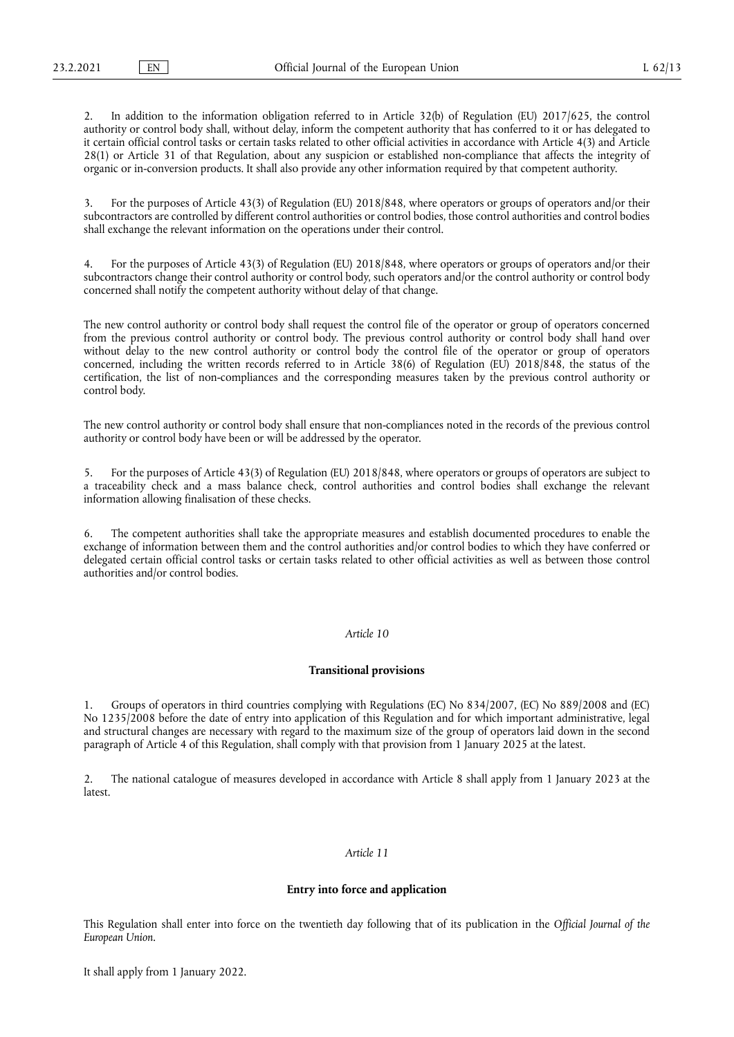2. In addition to the information obligation referred to in Article 32(b) of Regulation (EU) 2017/625, the control authority or control body shall, without delay, inform the competent authority that has conferred to it or has delegated to it certain official control tasks or certain tasks related to other official activities in accordance with Article 4(3) and Article 28(1) or Article 31 of that Regulation, about any suspicion or established non-compliance that affects the integrity of organic or in-conversion products. It shall also provide any other information required by that competent authority.

3. For the purposes of Article 43(3) of Regulation (EU) 2018/848, where operators or groups of operators and/or their subcontractors are controlled by different control authorities or control bodies, those control authorities and control bodies shall exchange the relevant information on the operations under their control.

4. For the purposes of Article 43(3) of Regulation (EU) 2018/848, where operators or groups of operators and/or their subcontractors change their control authority or control body, such operators and/or the control authority or control body concerned shall notify the competent authority without delay of that change.

The new control authority or control body shall request the control file of the operator or group of operators concerned from the previous control authority or control body. The previous control authority or control body shall hand over without delay to the new control authority or control body the control file of the operator or group of operators concerned, including the written records referred to in Article 38(6) of Regulation (EU) 2018/848, the status of the certification, the list of non-compliances and the corresponding measures taken by the previous control authority or control body.

The new control authority or control body shall ensure that non-compliances noted in the records of the previous control authority or control body have been or will be addressed by the operator.

5. For the purposes of Article 43(3) of Regulation (EU) 2018/848, where operators or groups of operators are subject to a traceability check and a mass balance check, control authorities and control bodies shall exchange the relevant information allowing finalisation of these checks.

6. The competent authorities shall take the appropriate measures and establish documented procedures to enable the exchange of information between them and the control authorities and/or control bodies to which they have conferred or delegated certain official control tasks or certain tasks related to other official activities as well as between those control authorities and/or control bodies.

# *Article 10*

#### **Transitional provisions**

1. Groups of operators in third countries complying with Regulations (EC) No 834/2007, (EC) No 889/2008 and (EC) No 1235/2008 before the date of entry into application of this Regulation and for which important administrative, legal and structural changes are necessary with regard to the maximum size of the group of operators laid down in the second paragraph of Article 4 of this Regulation, shall comply with that provision from 1 January 2025 at the latest.

2. The national catalogue of measures developed in accordance with Article 8 shall apply from 1 January 2023 at the latest.

## *Article 11*

#### **Entry into force and application**

This Regulation shall enter into force on the twentieth day following that of its publication in the *Official Journal of the European Union*.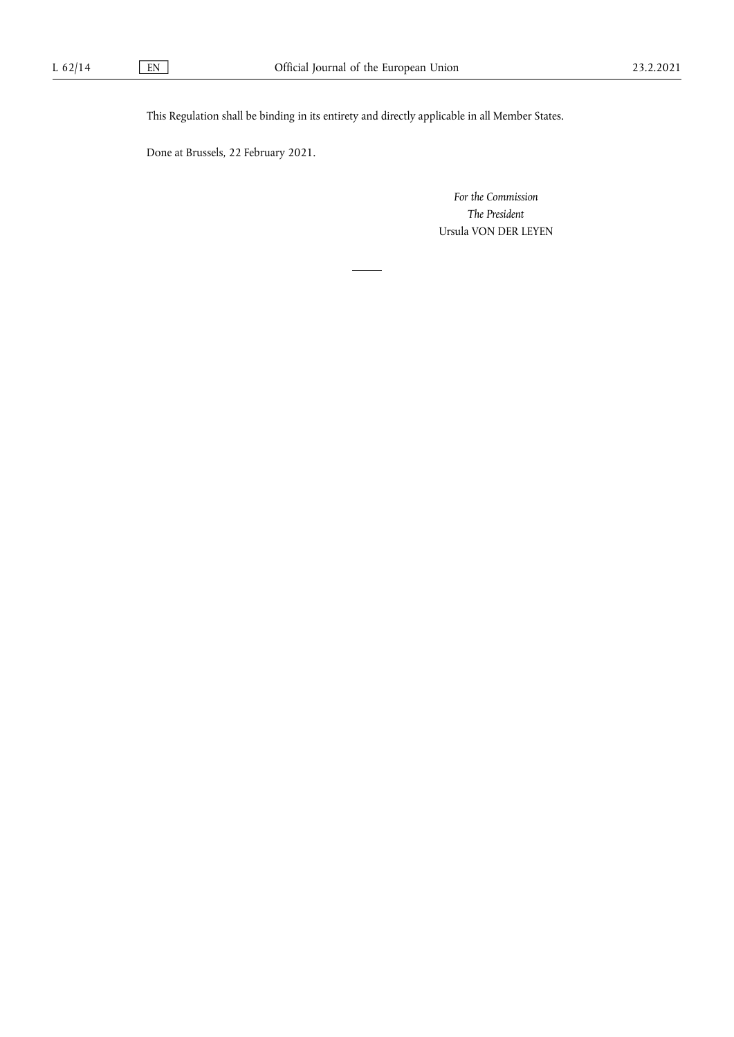This Regulation shall be binding in its entirety and directly applicable in all Member States.

Done at Brussels, 22 February 2021.

*For the Commission The President*  Ursula VON DER LEYEN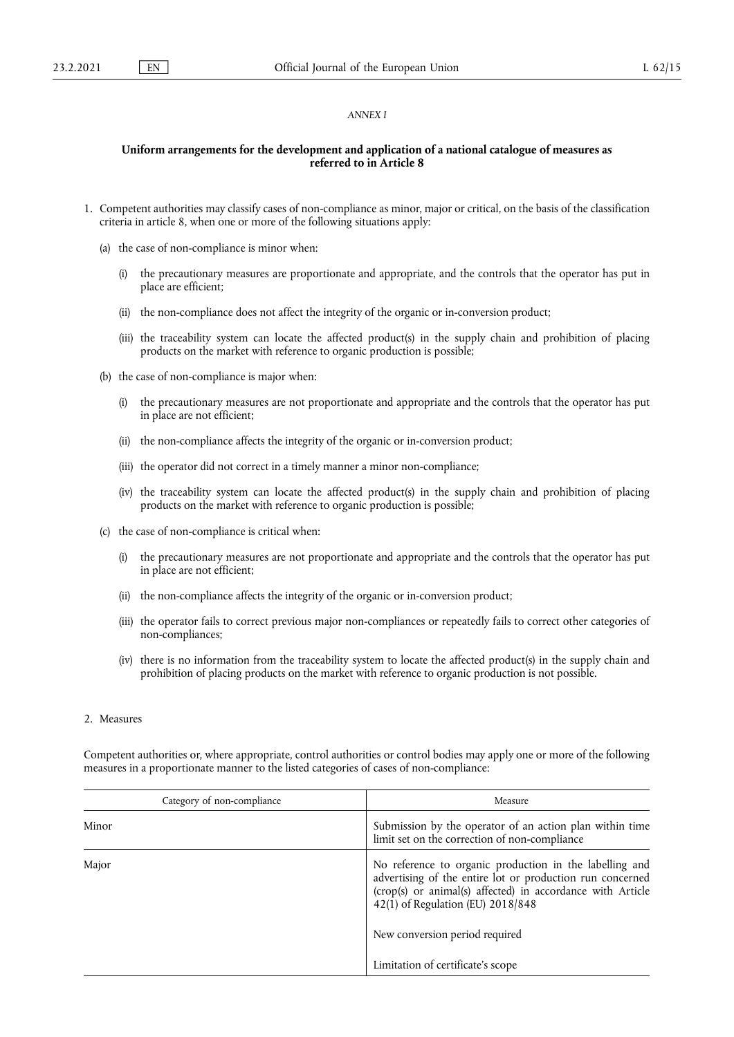#### *ANNEX I*

# **Uniform arrangements for the development and application of a national catalogue of measures as referred to in Article 8**

- 1. Competent authorities may classify cases of non-compliance as minor, major or critical, on the basis of the classification criteria in article 8, when one or more of the following situations apply:
	- (a) the case of non-compliance is minor when:
		- (i) the precautionary measures are proportionate and appropriate, and the controls that the operator has put in place are efficient;
		- (ii) the non-compliance does not affect the integrity of the organic or in-conversion product;
		- (iii) the traceability system can locate the affected product(s) in the supply chain and prohibition of placing products on the market with reference to organic production is possible;
	- (b) the case of non-compliance is major when:
		- (i) the precautionary measures are not proportionate and appropriate and the controls that the operator has put in place are not efficient;
		- (ii) the non-compliance affects the integrity of the organic or in-conversion product;
		- (iii) the operator did not correct in a timely manner a minor non-compliance;
		- (iv) the traceability system can locate the affected product(s) in the supply chain and prohibition of placing products on the market with reference to organic production is possible;
	- (c) the case of non-compliance is critical when:
		- (i) the precautionary measures are not proportionate and appropriate and the controls that the operator has put in place are not efficient;
		- (ii) the non-compliance affects the integrity of the organic or in-conversion product;
		- (iii) the operator fails to correct previous major non-compliances or repeatedly fails to correct other categories of non-compliances;
		- (iv) there is no information from the traceability system to locate the affected product(s) in the supply chain and prohibition of placing products on the market with reference to organic production is not possible.

#### 2. Measures

Competent authorities or, where appropriate, control authorities or control bodies may apply one or more of the following measures in a proportionate manner to the listed categories of cases of non-compliance:

| Category of non-compliance |  | Measure                                                                                                                                                                                                                                                   |  |
|----------------------------|--|-----------------------------------------------------------------------------------------------------------------------------------------------------------------------------------------------------------------------------------------------------------|--|
| Minor                      |  | Submission by the operator of an action plan within time<br>limit set on the correction of non-compliance                                                                                                                                                 |  |
| Major                      |  | No reference to organic production in the labelling and<br>advertising of the entire lot or production run concerned<br>(crop(s) or animal(s) affected) in accordance with Article<br>42(1) of Regulation (EU) 2018/848<br>New conversion period required |  |
|                            |  | Limitation of certificate's scope                                                                                                                                                                                                                         |  |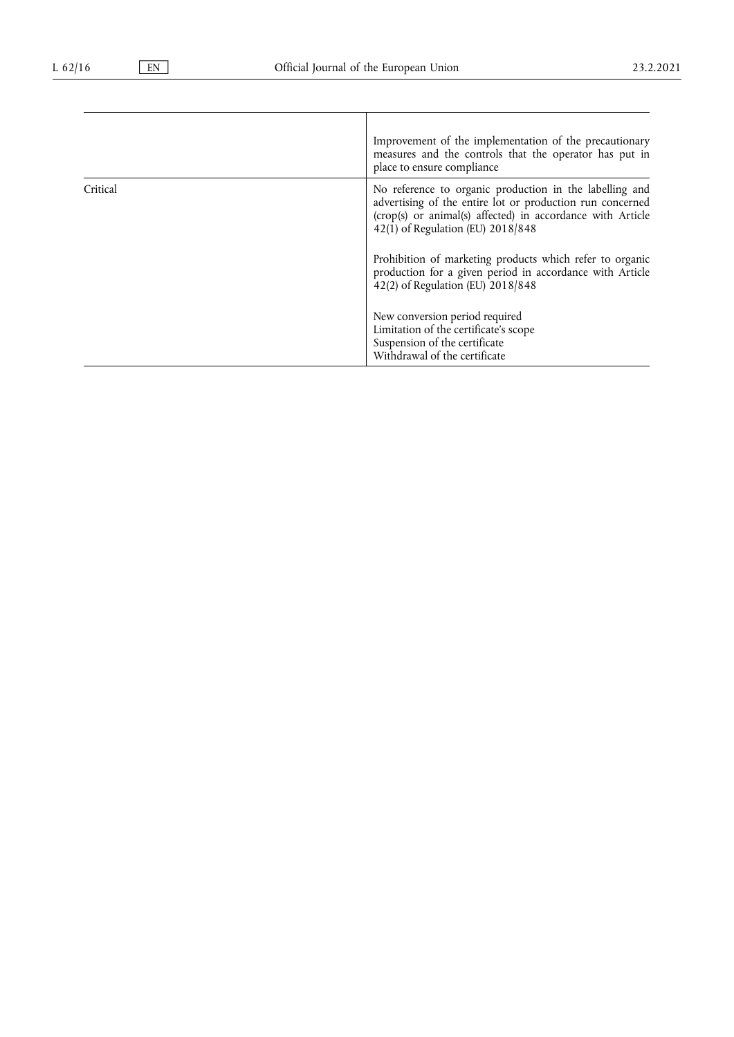|          | Improvement of the implementation of the precautionary<br>measures and the controls that the operator has put in<br>place to ensure compliance                                                                          |
|----------|-------------------------------------------------------------------------------------------------------------------------------------------------------------------------------------------------------------------------|
| Critical | No reference to organic production in the labelling and<br>advertising of the entire lot or production run concerned<br>(crop(s) or animal(s) affected) in accordance with Article<br>42(1) of Regulation (EU) 2018/848 |
|          | Prohibition of marketing products which refer to organic<br>production for a given period in accordance with Article<br>42(2) of Regulation (EU) 2018/848                                                               |
|          | New conversion period required<br>Limitation of the certificate's scope<br>Suspension of the certificate<br>Withdrawal of the certificate                                                                               |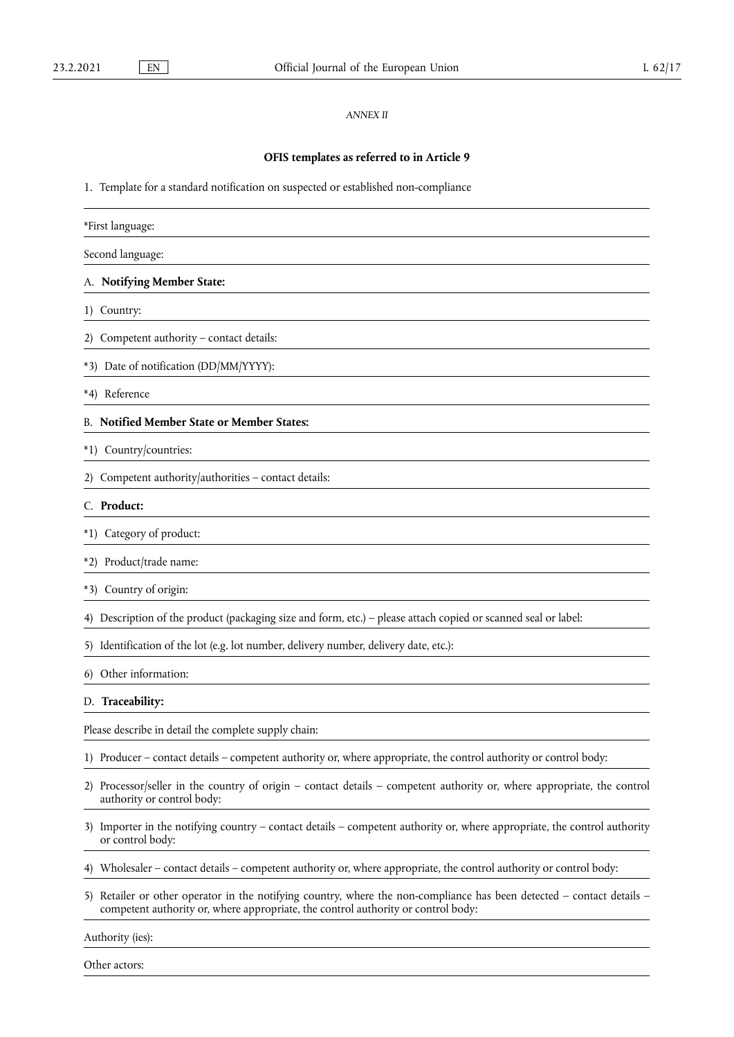# *ANNEX II*

# **OFIS templates as referred to in Article 9**

1. Template for a standard notification on suspected or established non-compliance

| *First language:                                                                                                                                                                                               |
|----------------------------------------------------------------------------------------------------------------------------------------------------------------------------------------------------------------|
| Second language:                                                                                                                                                                                               |
| A. Notifying Member State:                                                                                                                                                                                     |
| 1) Country:                                                                                                                                                                                                    |
| 2) Competent authority - contact details:                                                                                                                                                                      |
| *3) Date of notification (DD/MM/YYYY):                                                                                                                                                                         |
| *4) Reference                                                                                                                                                                                                  |
| <b>B. Notified Member State or Member States:</b>                                                                                                                                                              |
| *1) Country/countries:                                                                                                                                                                                         |
| Competent authority/authorities - contact details:                                                                                                                                                             |
| C. Product:                                                                                                                                                                                                    |
| Category of product:<br>$*1)$                                                                                                                                                                                  |
| Product/trade name:<br>$*2)$                                                                                                                                                                                   |
| Country of origin:<br>$*3)$                                                                                                                                                                                    |
| Description of the product (packaging size and form, etc.) – please attach copied or scanned seal or label:<br>4)                                                                                              |
| Identification of the lot (e.g. lot number, delivery number, delivery date, etc.):<br>5)                                                                                                                       |
| Other information:<br>6)                                                                                                                                                                                       |
| D. Traceability:                                                                                                                                                                                               |
| Please describe in detail the complete supply chain:                                                                                                                                                           |
| 1) Producer – contact details – competent authority or, where appropriate, the control authority or control body:                                                                                              |
| Processor/seller in the country of origin – contact details – competent authority or, where appropriate, the control<br>2)<br>authority or control body:                                                       |
| Importer in the notifying country – contact details – competent authority or, where appropriate, the control authority<br>3)<br>or control body:                                                               |
| Wholesaler – contact details – competent authority or, where appropriate, the control authority or control body:                                                                                               |
| Retailer or other operator in the notifying country, where the non-compliance has been detected – contact details –<br>5)<br>competent authority or, where appropriate, the control authority or control body: |
| Authority (ies):                                                                                                                                                                                               |

Other actors: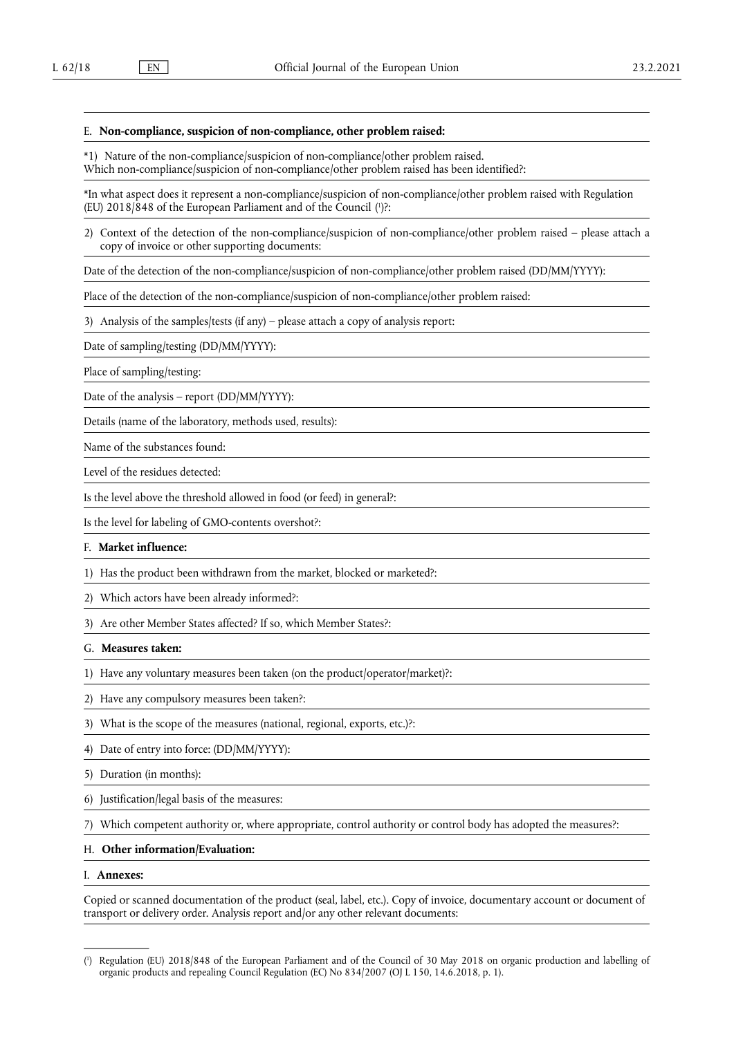#### E. **Non-compliance, suspicion of non-compliance, other problem raised:**

\*1) Nature of the non-compliance/suspicion of non-compliance/other problem raised.

Which non-compliance/suspicion of non-compliance/other problem raised has been identified?:

<span id="page-12-1"></span>\*In what aspect does it represent a non-compliance/suspicion of non-compliance/other problem raised with Regulation (EU)  $2018/848$  of the European Parliament and of the Council  $(1)$ ?:

2) Context of the detection of the non-compliance/suspicion of non-compliance/other problem raised – please attach a copy of invoice or other supporting documents:

Date of the detection of the non-compliance/suspicion of non-compliance/other problem raised (DD/MM/YYYY):

Place of the detection of the non-compliance/suspicion of non-compliance/other problem raised:

3) Analysis of the samples/tests (if any) – please attach a copy of analysis report:

Date of sampling/testing (DD/MM/YYYY):

Place of sampling/testing:

Date of the analysis – report (DD/MM/YYYY):

Details (name of the laboratory, methods used, results):

Name of the substances found:

Level of the residues detected:

Is the level above the threshold allowed in food (or feed) in general?:

Is the level for labeling of GMO-contents overshot?:

# F. **Market influence:**

1) Has the product been withdrawn from the market, blocked or marketed?:

2) Which actors have been already informed?:

3) Are other Member States affected? If so, which Member States?:

G. **Measures taken:** 

1) Have any voluntary measures been taken (on the product/operator/market)?:

2) Have any compulsory measures been taken?:

3) What is the scope of the measures (national, regional, exports, etc.)?:

4) Date of entry into force: (DD/MM/YYYY):

5) Duration (in months):

6) Justification/legal basis of the measures:

7) Which competent authority or, where appropriate, control authority or control body has adopted the measures?:

#### H. **Other information/Evaluation:**

#### I. **Annexes:**

Copied or scanned documentation of the product (seal, label, etc.). Copy of invoice, documentary account or document of transport or delivery order. Analysis report and/or any other relevant documents:

<span id="page-12-0"></span>[<sup>\(</sup>](#page-12-1) 1 ) Regulation (EU) 2018/848 of the European Parliament and of the Council of 30 May 2018 on organic production and labelling of organic products and repealing Council Regulation (EC) No 834/2007 (OJ L 150, 14.6.2018, p. 1).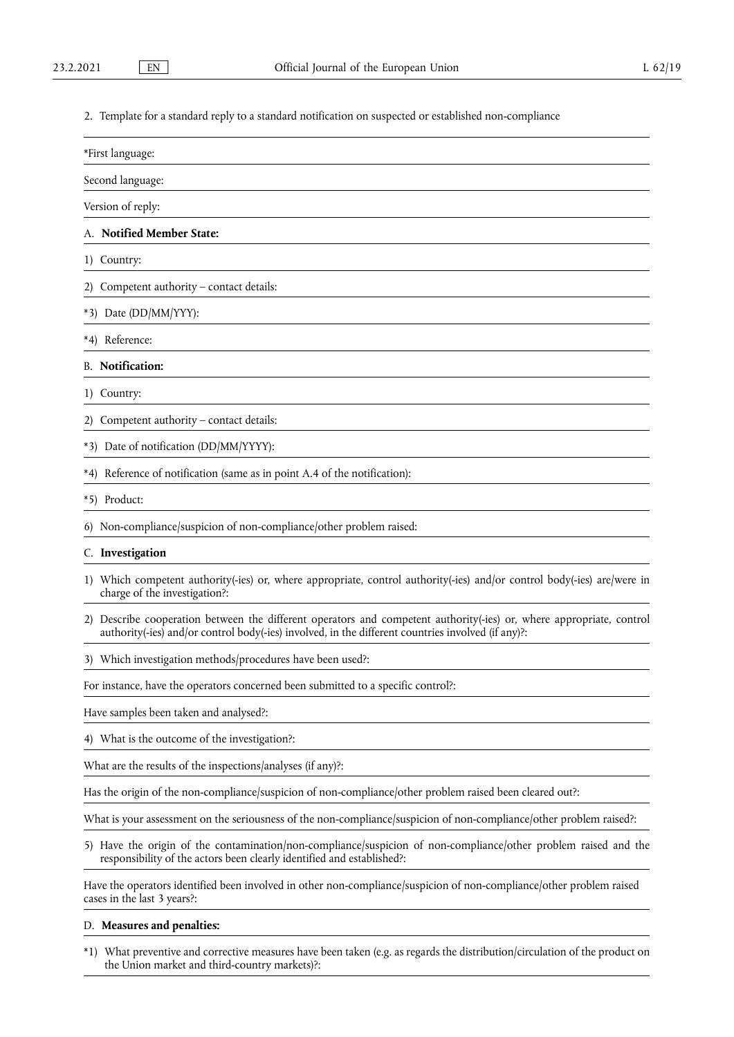2. Template for a standard reply to a standard notification on suspected or established non-compliance

| *First language: |
|------------------|
|------------------|

Second language:

Version of reply:

## A. **Notified Member State:**

1) Country:

2) Competent authority – contact details:

\*3) Date (DD/MM/YYY):

\*4) Reference:

B. **Notification:** 

1) Country:

2) Competent authority – contact details:

\*3) Date of notification (DD/MM/YYYY):

\*4) Reference of notification (same as in point A.4 of the notification):

\*5) Product:

6) Non-compliance/suspicion of non-compliance/other problem raised:

## C. **Investigation**

- 1) Which competent authority(-ies) or, where appropriate, control authority(-ies) and/or control body(-ies) are/were in charge of the investigation?:
- 2) Describe cooperation between the different operators and competent authority(-ies) or, where appropriate, control authority(-ies) and/or control body(-ies) involved, in the different countries involved (if any)?:

3) Which investigation methods/procedures have been used?:

For instance, have the operators concerned been submitted to a specific control?:

Have samples been taken and analysed?:

4) What is the outcome of the investigation?:

What are the results of the inspections/analyses (if any)?:

Has the origin of the non-compliance/suspicion of non-compliance/other problem raised been cleared out?:

What is your assessment on the seriousness of the non-compliance/suspicion of non-compliance/other problem raised?:

5) Have the origin of the contamination/non-compliance/suspicion of non-compliance/other problem raised and the responsibility of the actors been clearly identified and established?:

Have the operators identified been involved in other non-compliance/suspicion of non-compliance/other problem raised cases in the last 3 years?:

#### D. **Measures and penalties:**

\*1) What preventive and corrective measures have been taken (e.g. as regards the distribution/circulation of the product on the Union market and third-country markets)?: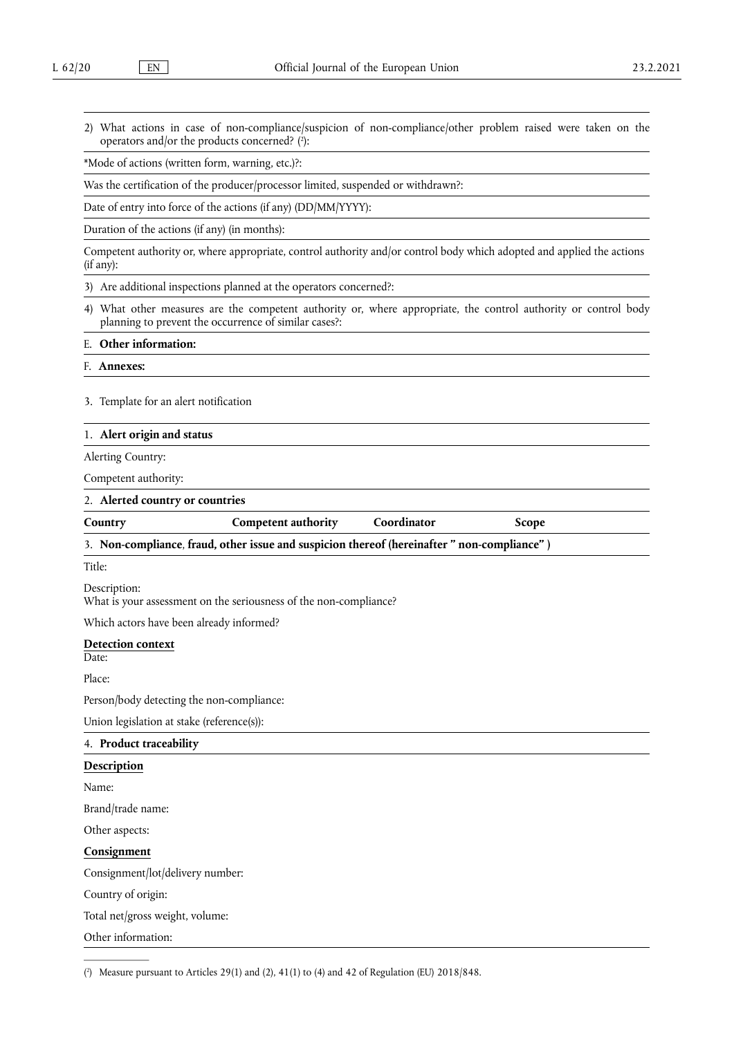<span id="page-14-1"></span>2) What actions in case of non-compliance/suspicion of non-compliance/other problem raised were taken on the operators and/or the products concerned? ( 2 [\):](#page-14-0)

\*Mode of actions (written form, warning, etc.)?:

Was the certification of the producer/processor limited, suspended or withdrawn?:

Date of entry into force of the actions (if any) (DD/MM/YYYY):

Duration of the actions (if any) (in months):

Competent authority or, where appropriate, control authority and/or control body which adopted and applied the actions (if any):

3) Are additional inspections planned at the operators concerned?:

4) What other measures are the competent authority or, where appropriate, the control authority or control body planning to prevent the occurrence of similar cases?:

E. **Other information:** 

F. **Annexes:** 

3. Template for an alert notification

#### 1. **Alert origin and status**

Alerting Country:

Competent authority:

#### 2. **Alerted country or countries**

| Country | <b>Competent authority</b> | Coordinator | Scope |
|---------|----------------------------|-------------|-------|
|         |                            |             |       |

## 3. **Non-compliance**, **fraud, other issue and suspicion thereof (hereinafter " non-compliance" )**

Title:

Description:

What is your assessment on the seriousness of the non-compliance?

Which actors have been already informed?

# **Detection context**

Date:

Place:

Person/body detecting the non-compliance:

Union legislation at stake (reference(s)):

# 4. **Product traceability**

# **Description**

Name:

Brand/trade name:

Other aspects:

# **Consignment**

Consignment/lot/delivery number:

Country of origin:

Total net/gross weight, volume:

Other information:

<span id="page-14-0"></span>[\(](#page-14-1) $\hat{i}$ ) Measure pursuant to Articles 29(1) and (2), 41(1) to (4) and 42 of Regulation (EU) 2018/848.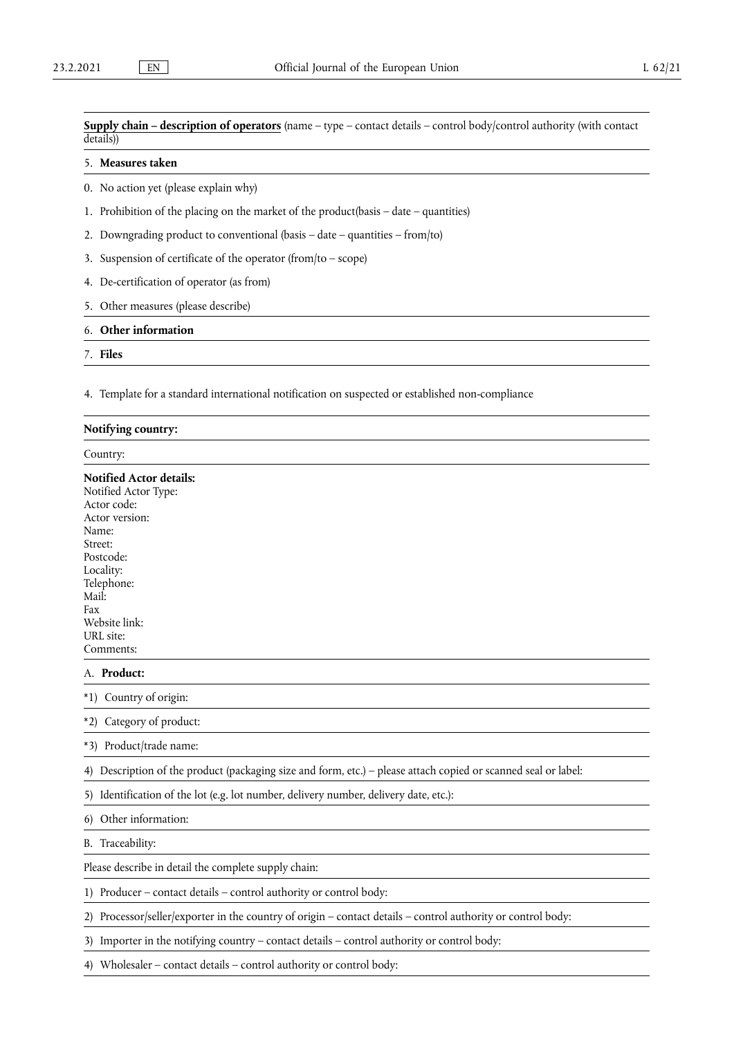**Supply chain – description of operators** (name – type – contact details – control body/control authority (with contact details))

# 5. **Measures taken**

0. No action yet (please explain why)

- 1. Prohibition of the placing on the market of the product(basis date quantities)
- 2. Downgrading product to conventional (basis date quantities from/to)
- 3. Suspension of certificate of the operator (from/to scope)
- 4. De-certification of operator (as from)
- 5. Other measures (please describe)

# 6. **Other information**

7. **Files** 

4. Template for a standard international notification on suspected or established non-compliance

| Notifying country:                                                                                                                                                                                             |  |  |
|----------------------------------------------------------------------------------------------------------------------------------------------------------------------------------------------------------------|--|--|
| Country:                                                                                                                                                                                                       |  |  |
| <b>Notified Actor details:</b><br>Notified Actor Type:<br>Actor code:<br>Actor version:<br>Name:<br>Street:<br>Postcode:<br>Locality:<br>Telephone:<br>Mail:<br>Fax<br>Website link:<br>URL site:<br>Comments: |  |  |
| A. Product:                                                                                                                                                                                                    |  |  |
| *1) Country of origin:                                                                                                                                                                                         |  |  |
| *2) Category of product:                                                                                                                                                                                       |  |  |
| *3) Product/trade name:                                                                                                                                                                                        |  |  |
| 4) Description of the product (packaging size and form, etc.) – please attach copied or scanned seal or label:                                                                                                 |  |  |
| 5) Identification of the lot (e.g. lot number, delivery number, delivery date, etc.):                                                                                                                          |  |  |
| Other information:<br>6)                                                                                                                                                                                       |  |  |
| B. Traceability:                                                                                                                                                                                               |  |  |
| Please describe in detail the complete supply chain:                                                                                                                                                           |  |  |
| 1) Producer – contact details – control authority or control body:                                                                                                                                             |  |  |
| 2) Processor/seller/exporter in the country of origin - contact details - control authority or control body:                                                                                                   |  |  |
| Importer in the notifying country - contact details - control authority or control body:<br>3)                                                                                                                 |  |  |
| 4) Wholesaler - contact details - control authority or control body:                                                                                                                                           |  |  |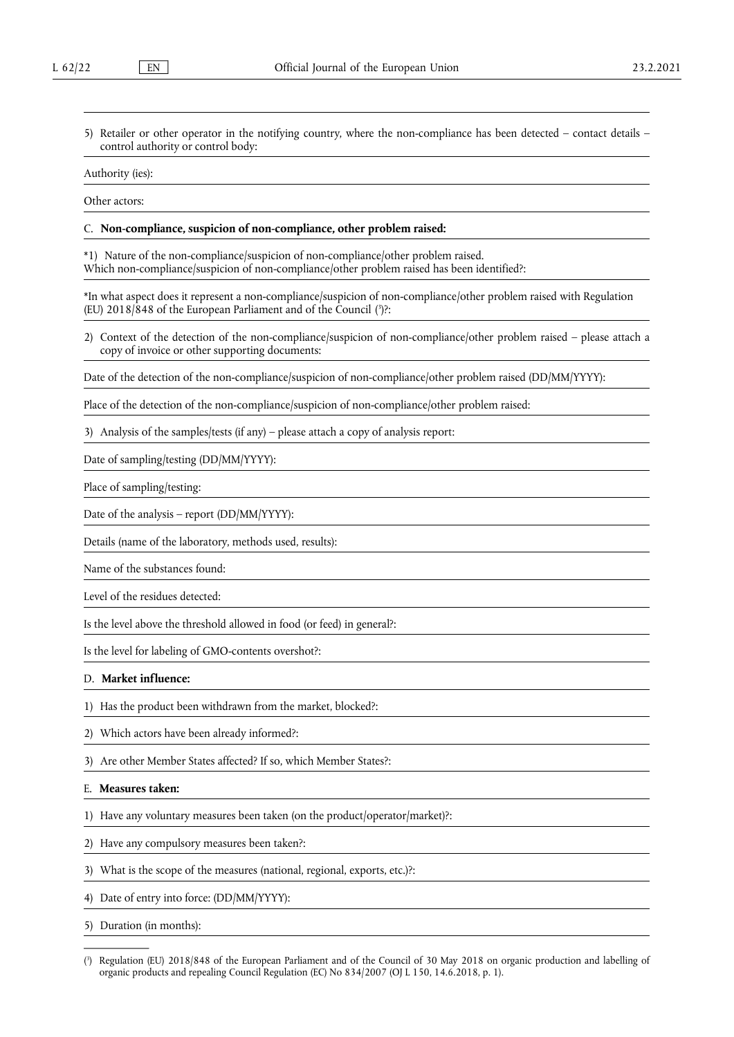5) Retailer or other operator in the notifying country, where the non-compliance has been detected – contact details – control authority or control body:

Authority (ies):

Other actors:

#### C. **Non-compliance, suspicion of non-compliance, other problem raised:**

\*1) Nature of the non-compliance/suspicion of non-compliance/other problem raised. Which non-compliance/suspicion of non-compliance/other problem raised has been identified?:

<span id="page-16-1"></span>\*In what aspect does it represent a non-compliance/suspicion of non-compliance/other problem raised with Regulation (EU) 2018/848 of the European Parliament and of the Council ( 3 [\)?](#page-16-0):

2) Context of the detection of the non-compliance/suspicion of non-compliance/other problem raised – please attach a copy of invoice or other supporting documents:

Date of the detection of the non-compliance/suspicion of non-compliance/other problem raised (DD/MM/YYYY):

Place of the detection of the non-compliance/suspicion of non-compliance/other problem raised:

3) Analysis of the samples/tests (if any) – please attach a copy of analysis report:

Date of sampling/testing (DD/MM/YYYY):

Place of sampling/testing:

Date of the analysis – report (DD/MM/YYYY):

Details (name of the laboratory, methods used, results):

Name of the substances found:

Level of the residues detected:

Is the level above the threshold allowed in food (or feed) in general?:

Is the level for labeling of GMO-contents overshot?:

# D. **Market influence:**

- 1) Has the product been withdrawn from the market, blocked?:
- 2) Which actors have been already informed?:
- 3) Are other Member States affected? If so, which Member States?:

# E. **Measures taken:**

- 1) Have any voluntary measures been taken (on the product/operator/market)?:
- 2) Have any compulsory measures been taken?:
- 3) What is the scope of the measures (national, regional, exports, etc.)?:
- 4) Date of entry into force: (DD/MM/YYYY):

5) Duration (in months):

<span id="page-16-0"></span>[<sup>\(</sup>](#page-16-1) 3 ) Regulation (EU) 2018/848 of the European Parliament and of the Council of 30 May 2018 on organic production and labelling of organic products and repealing Council Regulation (EC) No 834/2007 (OJ L 150, 14.6.2018, p. 1).